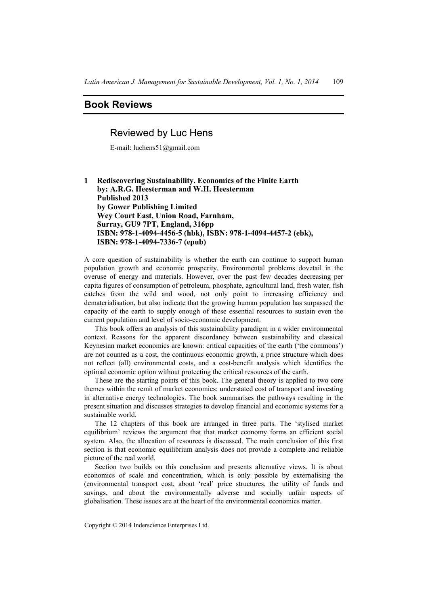## **Book Reviews**

## Reviewed by Luc Hens

E-mail: luchens51@gmail.com

**1 Rediscovering Sustainability. Economics of the Finite Earth by: A.R.G. Heesterman and W.H. Heesterman Published 2013 by Gower Publishing Limited Wey Court East, Union Road, Farnham, Surray, GU9 7PT, England, 316pp ISBN: 978-1-4094-4456-5 (hbk), ISBN: 978-1-4094-4457-2 (ebk), ISBN: 978-1-4094-7336-7 (epub)** 

A core question of sustainability is whether the earth can continue to support human population growth and economic prosperity. Environmental problems dovetail in the overuse of energy and materials. However, over the past few decades decreasing per capita figures of consumption of petroleum, phosphate, agricultural land, fresh water, fish catches from the wild and wood, not only point to increasing efficiency and dematerialisation, but also indicate that the growing human population has surpassed the capacity of the earth to supply enough of these essential resources to sustain even the current population and level of socio-economic development.

This book offers an analysis of this sustainability paradigm in a wider environmental context. Reasons for the apparent discordancy between sustainability and classical Keynesian market economics are known: critical capacities of the earth ('the commons') are not counted as a cost, the continuous economic growth, a price structure which does not reflect (all) environmental costs, and a cost-benefit analysis which identifies the optimal economic option without protecting the critical resources of the earth.

These are the starting points of this book. The general theory is applied to two core themes within the remit of market economies: understated cost of transport and investing in alternative energy technologies. The book summarises the pathways resulting in the present situation and discusses strategies to develop financial and economic systems for a sustainable world.

The 12 chapters of this book are arranged in three parts. The 'stylised market equilibrium' reviews the argument that that market economy forms an efficient social system. Also, the allocation of resources is discussed. The main conclusion of this first section is that economic equilibrium analysis does not provide a complete and reliable picture of the real world.

Section two builds on this conclusion and presents alternative views. It is about economics of scale and concentration, which is only possible by externalising the (environmental transport cost, about 'real' price structures, the utility of funds and savings, and about the environmentally adverse and socially unfair aspects of globalisation. These issues are at the heart of the environmental economics matter.

Copyright © 2014 Inderscience Enterprises Ltd.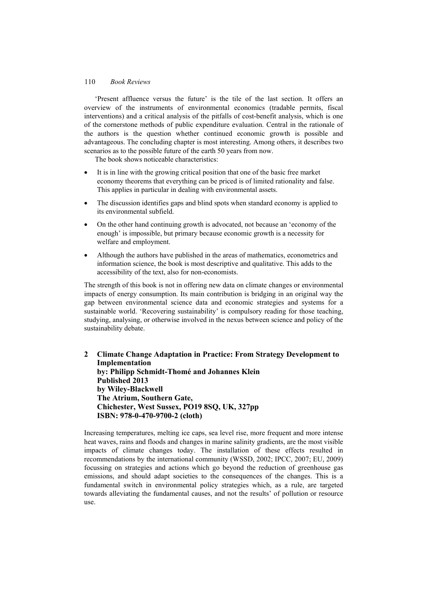## 110 *Book Reviews*

'Present affluence versus the future' is the tile of the last section. It offers an overview of the instruments of environmental economics (tradable permits, fiscal interventions) and a critical analysis of the pitfalls of cost-benefit analysis, which is one of the cornerstone methods of public expenditure evaluation. Central in the rationale of the authors is the question whether continued economic growth is possible and advantageous. The concluding chapter is most interesting. Among others, it describes two scenarios as to the possible future of the earth 50 years from now.

The book shows noticeable characteristics:

- It is in line with the growing critical position that one of the basic free market economy theorems that everything can be priced is of limited rationality and false. This applies in particular in dealing with environmental assets.
- The discussion identifies gaps and blind spots when standard economy is applied to its environmental subfield.
- On the other hand continuing growth is advocated, not because an 'economy of the enough' is impossible, but primary because economic growth is a necessity for welfare and employment.
- Although the authors have published in the areas of mathematics, econometrics and information science, the book is most descriptive and qualitative. This adds to the accessibility of the text, also for non-economists.

The strength of this book is not in offering new data on climate changes or environmental impacts of energy consumption. Its main contribution is bridging in an original way the gap between environmental science data and economic strategies and systems for a sustainable world. 'Recovering sustainability' is compulsory reading for those teaching, studying, analysing, or otherwise involved in the nexus between science and policy of the sustainability debate.

**2 Climate Change Adaptation in Practice: From Strategy Development to Implementation by: Philipp Schmidt-Thomé and Johannes Klein Published 2013 by Wiley-Blackwell The Atrium, Southern Gate, Chichester, West Sussex, PO19 8SQ, UK, 327pp ISBN: 978-0-470-9700-2 (cloth)** 

Increasing temperatures, melting ice caps, sea level rise, more frequent and more intense heat waves, rains and floods and changes in marine salinity gradients, are the most visible impacts of climate changes today. The installation of these effects resulted in recommendations by the international community (WSSD, 2002; IPCC, 2007; EU, 2009) focussing on strategies and actions which go beyond the reduction of greenhouse gas emissions, and should adapt societies to the consequences of the changes. This is a fundamental switch in environmental policy strategies which, as a rule, are targeted towards alleviating the fundamental causes, and not the results' of pollution or resource use.